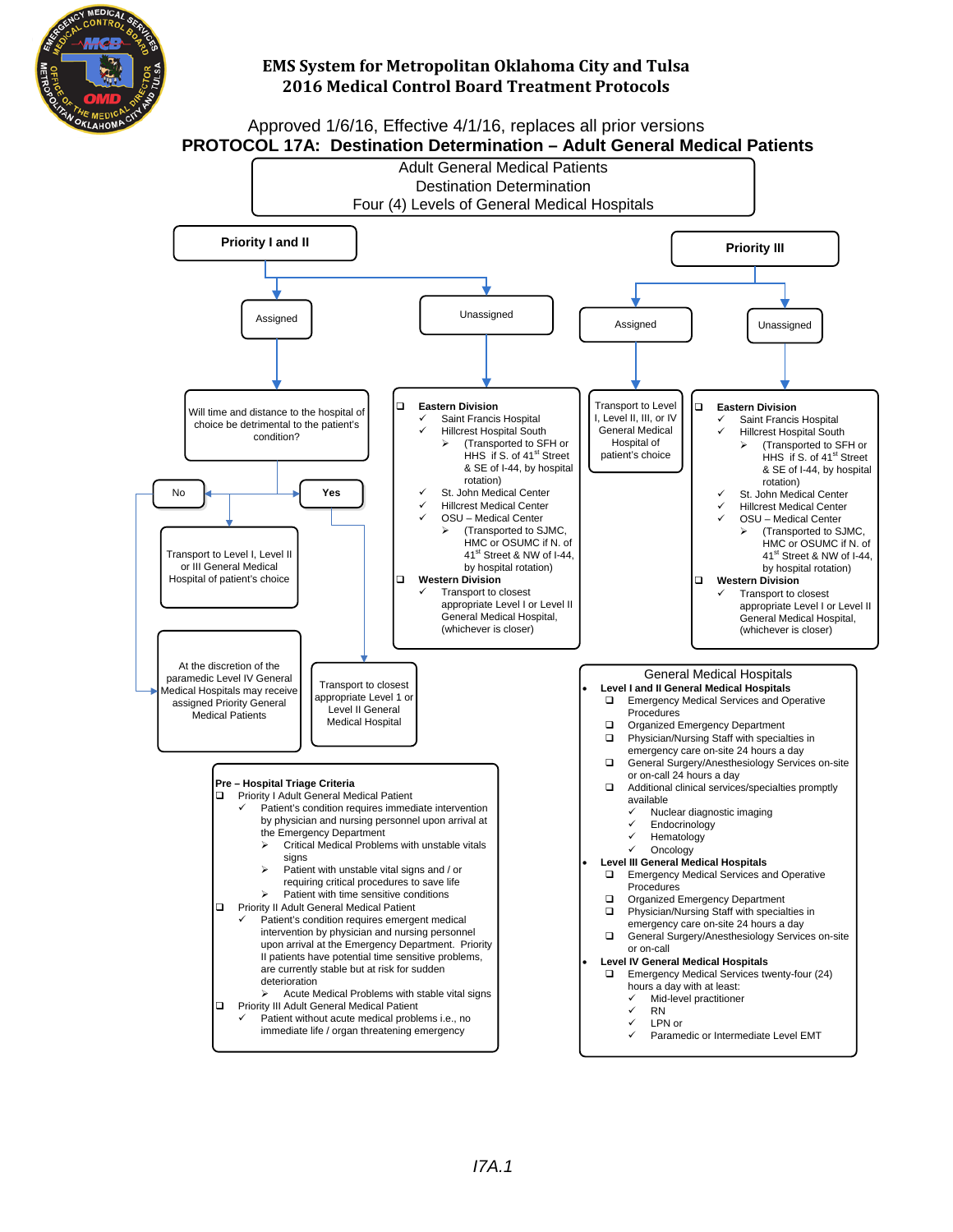

#### Approved 1/6/16, Effective 4/1/16, replaces all prior versions **PROTOCOL 17A: Destination Determination – Adult General Medical Patients**

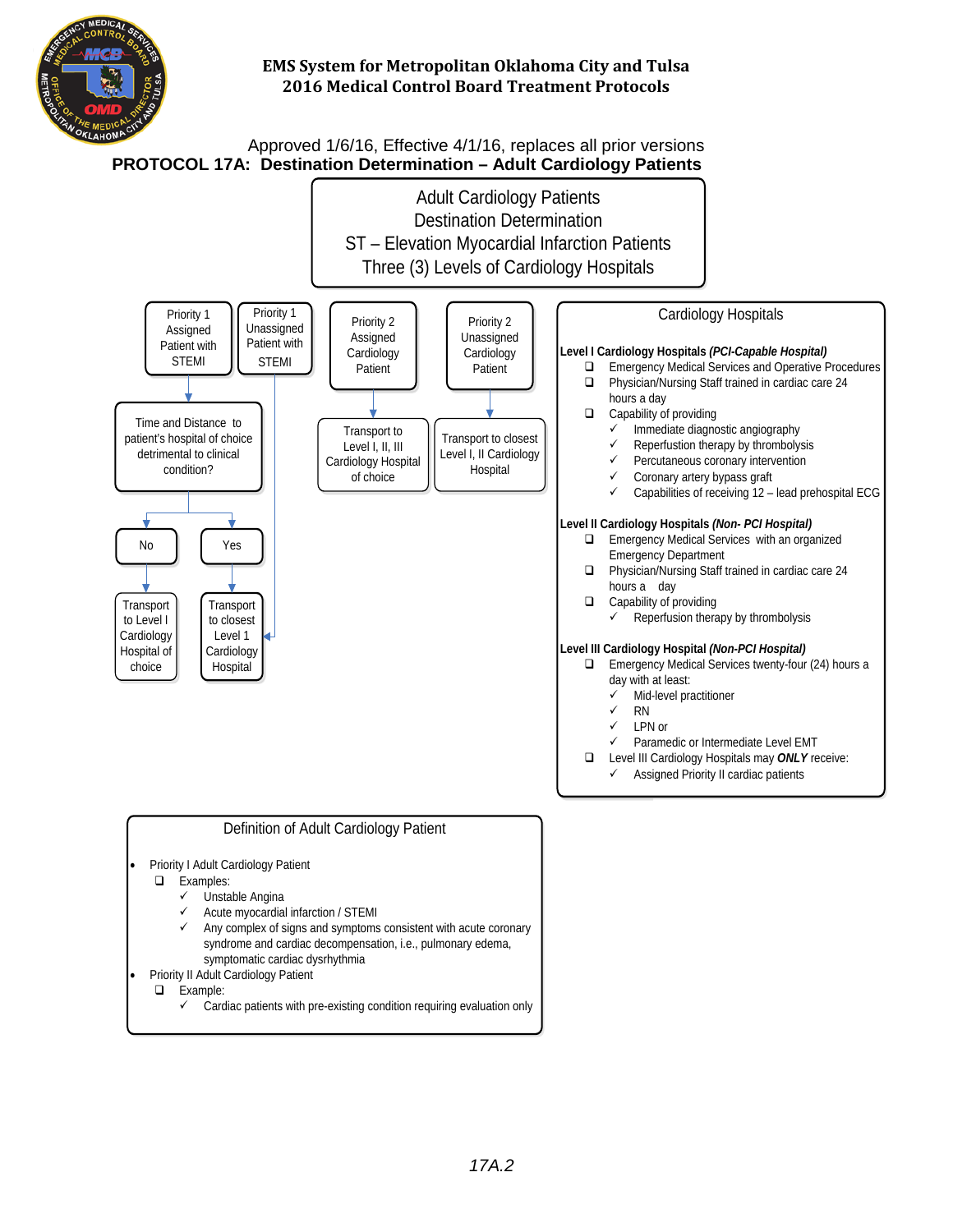

Approved 1/6/16, Effective 4/1/16, replaces all prior versions **PROTOCOL 17A:****Destination Determination – Adult Cardiology Patients**

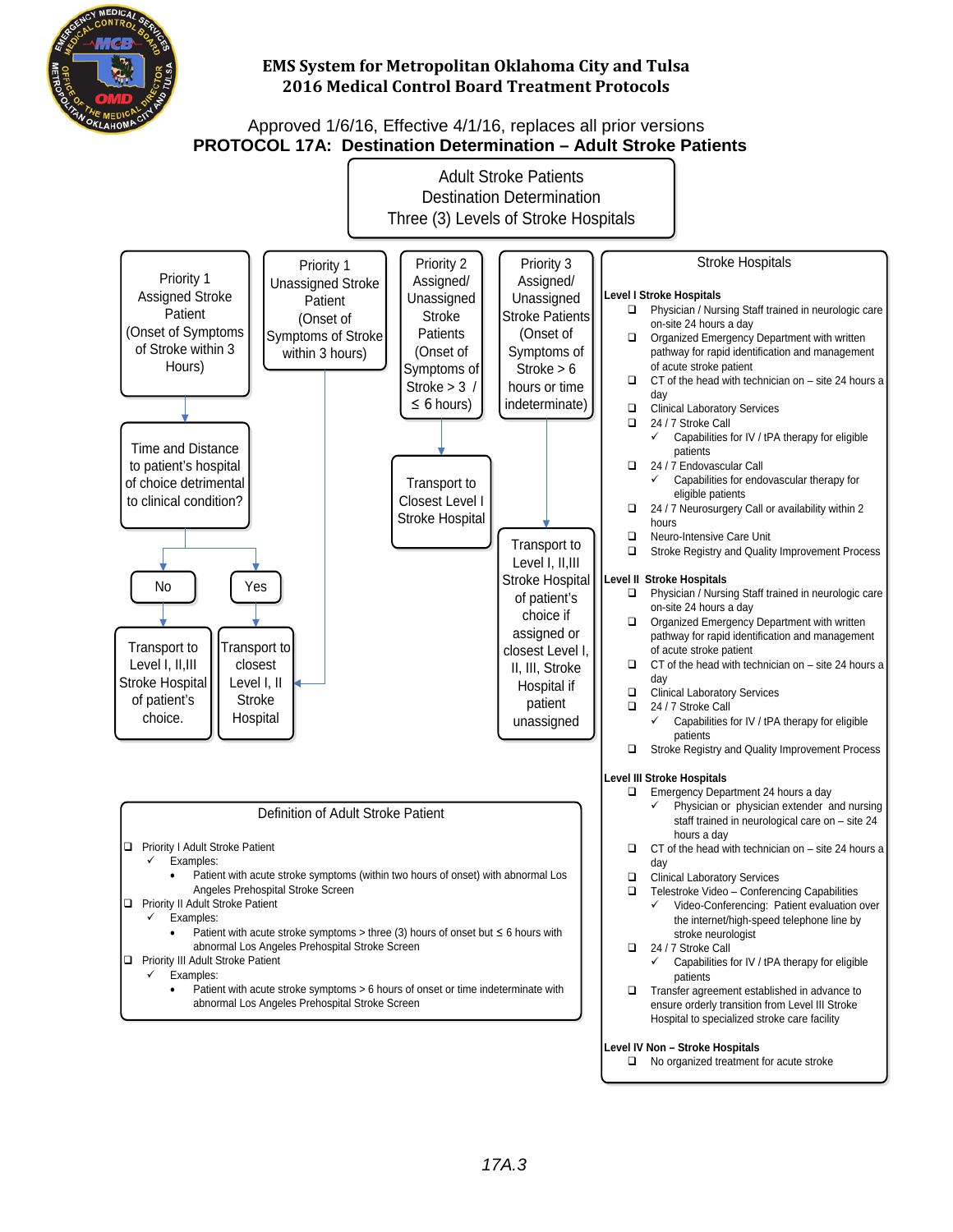

### Approved 1/6/16, Effective 4/1/16, replaces all prior versions **PROTOCOL 17A: Destination Determination – Adult Stroke Patients**

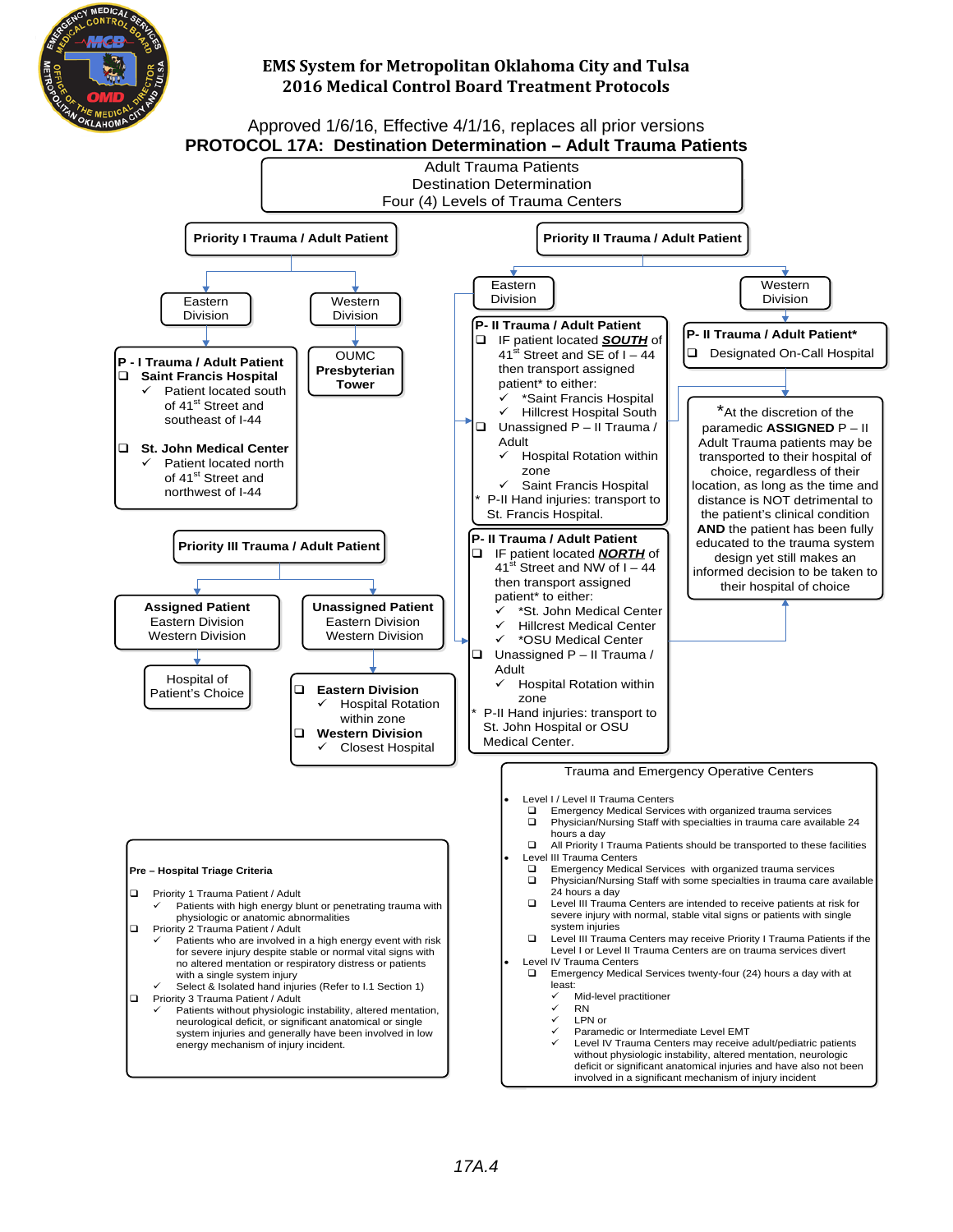

# **2016 Medical Control Board Treatment Protocols**



 Level IV Trauma Centers may receive adult/pediatric patients without physiologic instability, altered mentation, neurologic deficit or significant anatomical injuries and have also not been involved in a significant mechanism of injury incident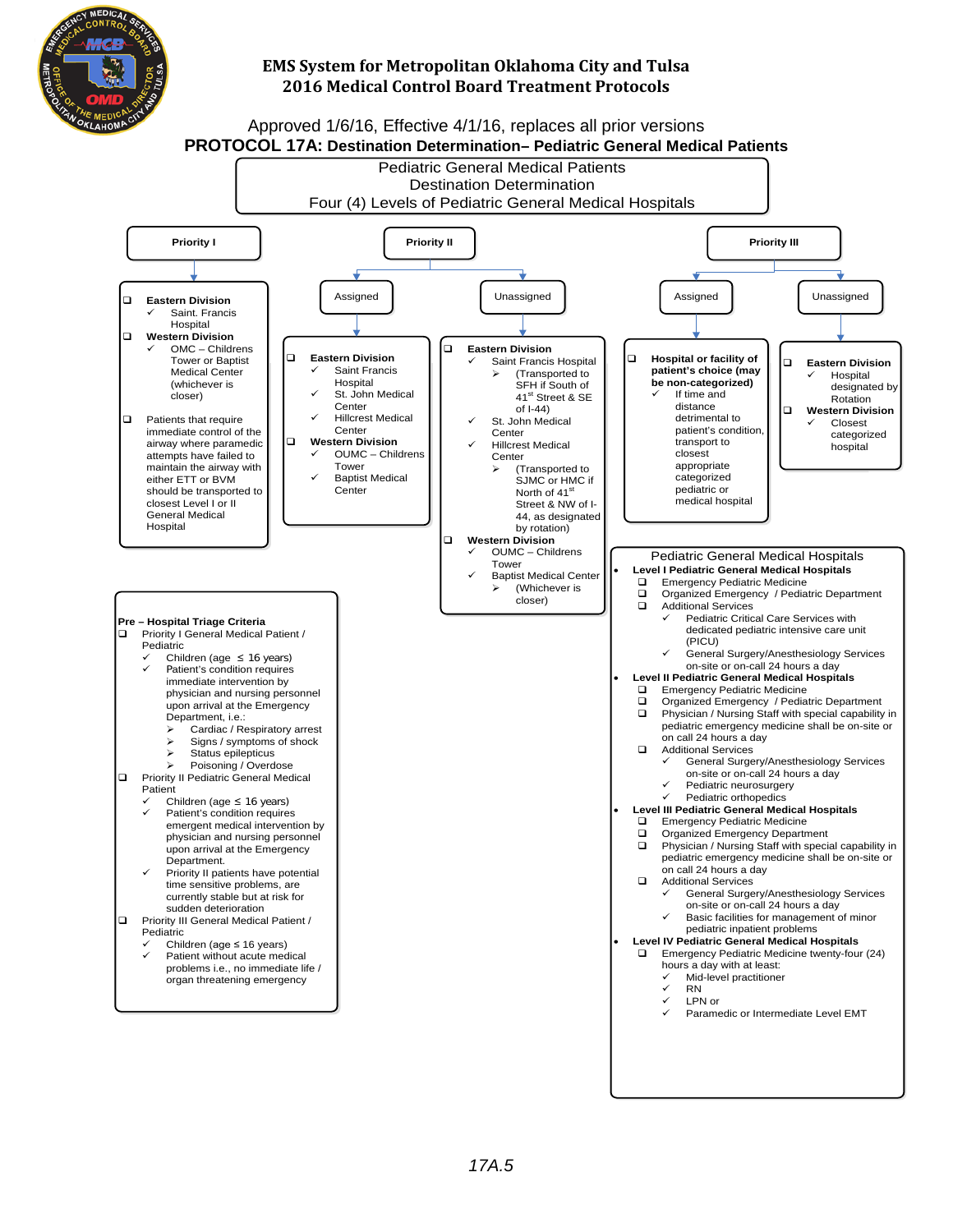

## Approved 1/6/16, Effective 4/1/16, replaces all prior versions **PROTOCOL 17A: Destination Determination– Pediatric General Medical Patients**